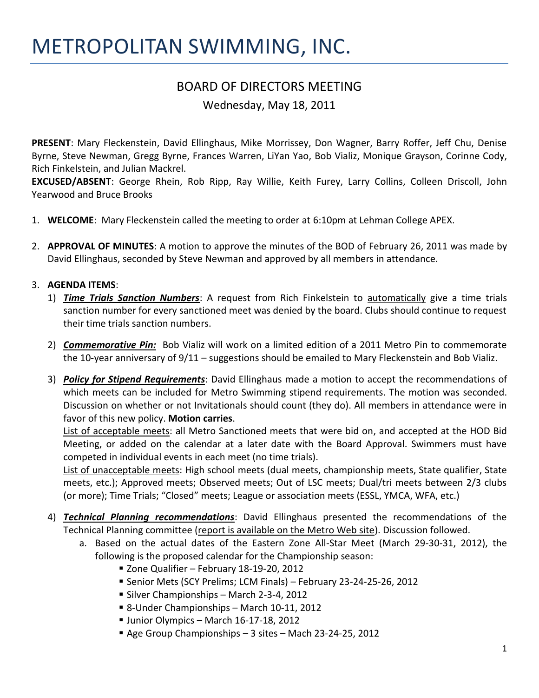## METROPOLITAN SWIMMING, INC.

## BOARD OF DIRECTORS MEETING

Wednesday, May 18, 2011

**PRESENT**: Mary Fleckenstein, David Ellinghaus, Mike Morrissey, Don Wagner, Barry Roffer, Jeff Chu, Denise Byrne, Steve Newman, Gregg Byrne, Frances Warren, LiYan Yao, Bob Vializ, Monique Grayson, Corinne Cody, Rich Finkelstein, and Julian Mackrel.

**EXCUSED/ABSENT**: George Rhein, Rob Ripp, Ray Willie, Keith Furey, Larry Collins, Colleen Driscoll, John Yearwood and Bruce Brooks

- 1. **WELCOME**: Mary Fleckenstein called the meeting to order at 6:10pm at Lehman College APEX.
- 2. **APPROVAL OF MINUTES**: A motion to approve the minutes of the BOD of February 26, 2011 was made by David Ellinghaus, seconded by Steve Newman and approved by all members in attendance.

## 3. **AGENDA ITEMS**:

- 1) *Time Trials Sanction Numbers*: A request from Rich Finkelstein to automatically give a time trials sanction number for every sanctioned meet was denied by the board. Clubs should continue to request their time trials sanction numbers.
- 2) *Commemorative Pin:* Bob Vializ will work on a limited edition of a 2011 Metro Pin to commemorate the 10-year anniversary of 9/11 – suggestions should be emailed to Mary Fleckenstein and Bob Vializ.
- 3) *Policy for Stipend Requirements*: David Ellinghaus made a motion to accept the recommendations of which meets can be included for Metro Swimming stipend requirements. The motion was seconded. Discussion on whether or not Invitationals should count (they do). All members in attendance were in favor of this new policy. **Motion carries**.

List of acceptable meets: all Metro Sanctioned meets that were bid on, and accepted at the HOD Bid Meeting, or added on the calendar at a later date with the Board Approval. Swimmers must have competed in individual events in each meet (no time trials).

List of unacceptable meets: High school meets (dual meets, championship meets, State qualifier, State meets, etc.); Approved meets; Observed meets; Out of LSC meets; Dual/tri meets between 2/3 clubs (or more); Time Trials; "Closed" meets; League or association meets (ESSL, YMCA, WFA, etc.)

- 4) *Technical Planning recommendations*: David Ellinghaus presented the recommendations of the Technical Planning committee (report is available on the Metro Web site). Discussion followed.
	- a. Based on the actual dates of the Eastern Zone All-Star Meet (March 29-30-31, 2012), the following is the proposed calendar for the Championship season:
		- Zone Qualifier February 18-19-20, 2012
		- Senior Mets (SCY Prelims; LCM Finals) February 23-24-25-26, 2012
		- Silver Championships March 2-3-4, 2012
		- 8-Under Championships March 10-11, 2012
		- Unior Olympics March 16-17-18, 2012
		- Age Group Championships 3 sites Mach 23-24-25, 2012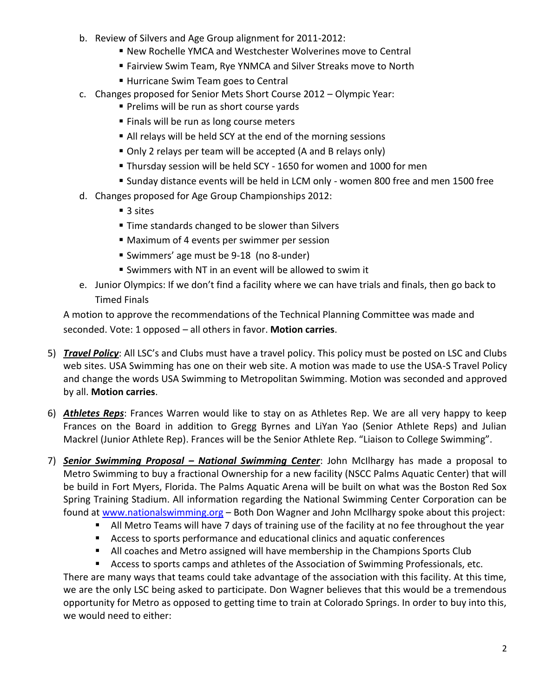- b. Review of Silvers and Age Group alignment for 2011-2012:
	- New Rochelle YMCA and Westchester Wolverines move to Central
	- Fairview Swim Team, Rye YNMCA and Silver Streaks move to North
	- Hurricane Swim Team goes to Central
- c. Changes proposed for Senior Mets Short Course 2012 Olympic Year:
	- **Prelims will be run as short course yards**
	- **Finals will be run as long course meters**
	- All relays will be held SCY at the end of the morning sessions
	- Only 2 relays per team will be accepted (A and B relays only)
	- Thursday session will be held SCY 1650 for women and 1000 for men
	- Sunday distance events will be held in LCM only women 800 free and men 1500 free
- d. Changes proposed for Age Group Championships 2012:
	- 3 sites
	- Time standards changed to be slower than Silvers
	- Maximum of 4 events per swimmer per session
	- Swimmers' age must be 9-18 (no 8-under)
	- Swimmers with NT in an event will be allowed to swim it
- e. Junior Olympics: If we don't find a facility where we can have trials and finals, then go back to Timed Finals

A motion to approve the recommendations of the Technical Planning Committee was made and seconded. Vote: 1 opposed – all others in favor. **Motion carries**.

- 5) *Travel Policy*: All LSC's and Clubs must have a travel policy. This policy must be posted on LSC and Clubs web sites. USA Swimming has one on their web site. A motion was made to use the USA-S Travel Policy and change the words USA Swimming to Metropolitan Swimming. Motion was seconded and approved by all. **Motion carries**.
- 6) *Athletes Reps*: Frances Warren would like to stay on as Athletes Rep. We are all very happy to keep Frances on the Board in addition to Gregg Byrnes and LiYan Yao (Senior Athlete Reps) and Julian Mackrel (Junior Athlete Rep). Frances will be the Senior Athlete Rep. "Liaison to College Swimming".
- 7) *Senior Swimming Proposal – National Swimming Center*: John McIlhargy has made a proposal to Metro Swimming to buy a fractional Ownership for a new facility (NSCC Palms Aquatic Center) that will be build in Fort Myers, Florida. The Palms Aquatic Arena will be built on what was the Boston Red Sox Spring Training Stadium. All information regarding the National Swimming Center Corporation can be found at [www.nationalswimming.org](http://www.nationalswimming.org/) – Both Don Wagner and John McIlhargy spoke about this project:
	- All Metro Teams will have 7 days of training use of the facility at no fee throughout the year
	- Access to sports performance and educational clinics and aquatic conferences
	- All coaches and Metro assigned will have membership in the Champions Sports Club

 Access to sports camps and athletes of the Association of Swimming Professionals, etc. There are many ways that teams could take advantage of the association with this facility. At this time, we are the only LSC being asked to participate. Don Wagner believes that this would be a tremendous opportunity for Metro as opposed to getting time to train at Colorado Springs. In order to buy into this, we would need to either: